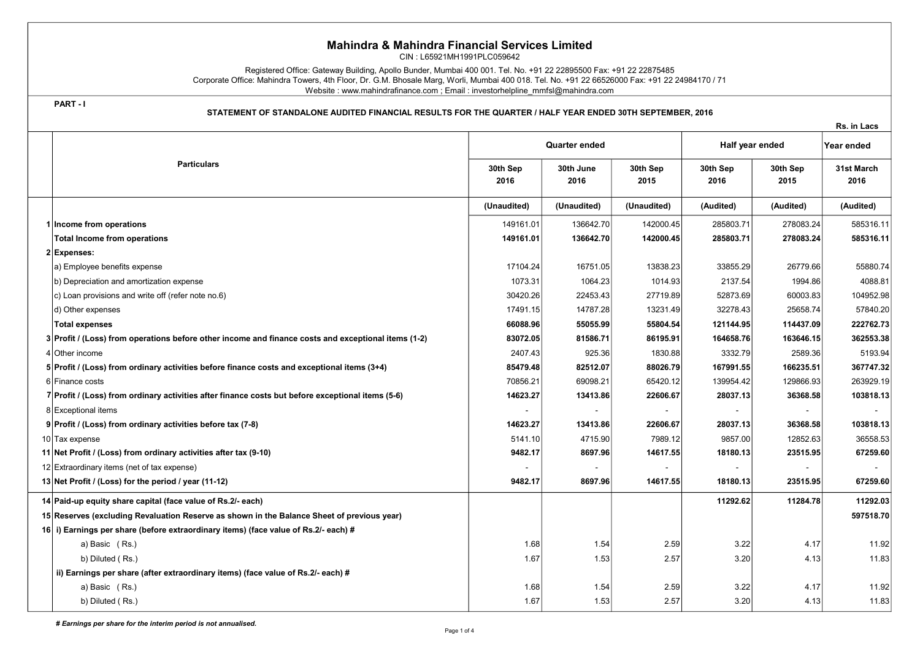## Mahindra & Mahindra Financial Services Limited

CIN : L65921MH1991PLC059642

Registered Office: Gateway Building, Apollo Bunder, Mumbai 400 001. Tel. No. +91 22 22895500 Fax: +91 22 22875485 Corporate Office: Mahindra Towers, 4th Floor, Dr. G.M. Bhosale Marg, Worli, Mumbai 400 018. Tel. No. +91 22 66526000 Fax: +91 22 24984170 / 71 Website : www.mahindrafinance.com ; Email : investorhelpline\_mmfsl@mahindra.com

PART - I

## STATEMENT OF STANDALONE AUDITED FINANCIAL RESULTS FOR THE QUARTER / HALF YEAR ENDED 30TH SEPTEMBER, 2016

Rs. in Lacs

|  | <b>Particulars</b>                                                                                  | <b>Quarter ended</b> |                   |                  | Half year ended  |                  | Year ended         |
|--|-----------------------------------------------------------------------------------------------------|----------------------|-------------------|------------------|------------------|------------------|--------------------|
|  |                                                                                                     | 30th Sep<br>2016     | 30th June<br>2016 | 30th Sep<br>2015 | 30th Sep<br>2016 | 30th Sep<br>2015 | 31st March<br>2016 |
|  |                                                                                                     | (Unaudited)          | (Unaudited)       | (Unaudited)      | (Audited)        | (Audited)        | (Audited)          |
|  | 1 Income from operations                                                                            | 149161.01            | 136642.70         | 142000.45        | 285803.71        | 278083.24        | 585316.11          |
|  | <b>Total Income from operations</b>                                                                 | 149161.01            | 136642.70         | 142000.45        | 285803.71        | 278083.24        | 585316.11          |
|  | 2 Expenses:                                                                                         |                      |                   |                  |                  |                  |                    |
|  | a) Employee benefits expense                                                                        | 17104.24             | 16751.05          | 13838.23         | 33855.29         | 26779.66         | 55880.74           |
|  | b) Depreciation and amortization expense                                                            | 1073.31              | 1064.23           | 1014.93          | 2137.54          | 1994.86          | 4088.81            |
|  | c) Loan provisions and write off (refer note no.6)                                                  | 30420.26             | 22453.43          | 27719.89         | 52873.69         | 60003.83         | 104952.98          |
|  | d) Other expenses                                                                                   | 17491.15             | 14787.28          | 13231.49         | 32278.43         | 25658.74         | 57840.20           |
|  | <b>Total expenses</b>                                                                               | 66088.96             | 55055.99          | 55804.54         | 121144.95        | 114437.09        | 222762.73          |
|  | 3 Profit / (Loss) from operations before other income and finance costs and exceptional items (1-2) | 83072.05             | 81586.71          | 86195.91         | 164658.76        | 163646.15        | 362553.38          |
|  | 4 Other income                                                                                      | 2407.43              | 925.36            | 1830.88          | 3332.79          | 2589.36          | 5193.94            |
|  | 5 Profit / (Loss) from ordinary activities before finance costs and exceptional items (3+4)         | 85479.48             | 82512.07          | 88026.79         | 167991.55        | 166235.51        | 367747.32          |
|  | 6 Finance costs                                                                                     | 70856.21             | 69098.21          | 65420.12         | 139954.42        | 129866.93        | 263929.19          |
|  | 7 Profit / (Loss) from ordinary activities after finance costs but before exceptional items (5-6)   | 14623.27             | 13413.86          | 22606.67         | 28037.13         | 36368.58         | 103818.13          |
|  | 8 Exceptional items                                                                                 |                      |                   |                  |                  |                  |                    |
|  | 9 Profit / (Loss) from ordinary activities before tax (7-8)                                         | 14623.27             | 13413.86          | 22606.67         | 28037.13         | 36368.58         | 103818.13          |
|  | 10 Tax expense                                                                                      | 5141.10              | 4715.90           | 7989.12          | 9857.00          | 12852.63         | 36558.53           |
|  | 11 Net Profit / (Loss) from ordinary activities after tax (9-10)                                    | 9482.17              | 8697.96           | 14617.55         | 18180.13         | 23515.95         | 67259.60           |
|  | 12 Extraordinary items (net of tax expense)                                                         |                      | $\sim$            |                  |                  |                  |                    |
|  | 13 Net Profit / (Loss) for the period / year (11-12)                                                | 9482.17              | 8697.96           | 14617.55         | 18180.13         | 23515.95         | 67259.60           |
|  | 14 Paid-up equity share capital (face value of Rs.2/- each)                                         |                      |                   |                  | 11292.62         | 11284.78         | 11292.03           |
|  | 15 Reserves (excluding Revaluation Reserve as shown in the Balance Sheet of previous year)          |                      |                   |                  |                  |                  | 597518.70          |
|  | 16 i) Earnings per share (before extraordinary items) (face value of Rs.2/- each) #                 |                      |                   |                  |                  |                  |                    |
|  | a) Basic (Rs.)                                                                                      | 1.68                 | 1.54              | 2.59             | 3.22             | 4.17             | 11.92              |
|  | b) Diluted (Rs.)                                                                                    | 1.67                 | 1.53              | 2.57             | 3.20             | 4.13             | 11.83              |
|  | ii) Earnings per share (after extraordinary items) (face value of Rs.2/- each) #                    |                      |                   |                  |                  |                  |                    |
|  | a) Basic (Rs.)                                                                                      | 1.68                 | 1.54              | 2.59             | 3.22             | 4.17             | 11.92              |
|  | b) Diluted (Rs.)                                                                                    | 1.67                 | 1.53              | 2.57             | 3.20             | 4.13             | 11.83              |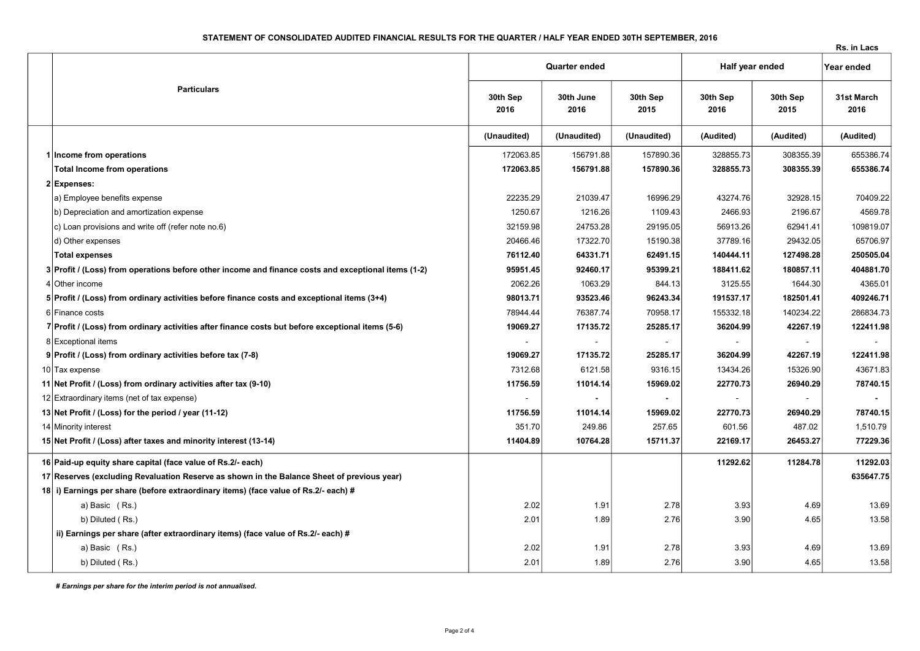## STATEMENT OF CONSOLIDATED AUDITED FINANCIAL RESULTS FOR THE QUARTER / HALF YEAR ENDED 30TH SEPTEMBER, 2016

Rs. in Lacs

|                                                                                                     |                  | Quarter ended     |                  |                  | Half year ended  |                    |
|-----------------------------------------------------------------------------------------------------|------------------|-------------------|------------------|------------------|------------------|--------------------|
| <b>Particulars</b>                                                                                  | 30th Sep<br>2016 | 30th June<br>2016 | 30th Sep<br>2015 | 30th Sep<br>2016 | 30th Sep<br>2015 | 31st March<br>2016 |
|                                                                                                     | (Unaudited)      | (Unaudited)       | (Unaudited)      | (Audited)        | (Audited)        | (Audited)          |
| 1 Income from operations                                                                            | 172063.85        | 156791.88         | 157890.36        | 328855.73        | 308355.39        | 655386.74          |
| <b>Total Income from operations</b>                                                                 | 172063.85        | 156791.88         | 157890.36        | 328855.73        | 308355.39        | 655386.74          |
| 2 Expenses:                                                                                         |                  |                   |                  |                  |                  |                    |
| a) Employee benefits expense                                                                        | 22235.29         | 21039.47          | 16996.29         | 43274.76         | 32928.15         | 70409.22           |
| b) Depreciation and amortization expense                                                            | 1250.67          | 1216.26           | 1109.43          | 2466.93          | 2196.67          | 4569.78            |
| c) Loan provisions and write off (refer note no.6)                                                  | 32159.98         | 24753.28          | 29195.05         | 56913.26         | 62941.41         | 109819.07          |
| d) Other expenses                                                                                   | 20466.46         | 17322.70          | 15190.38         | 37789.16         | 29432.05         | 65706.97           |
| <b>Total expenses</b>                                                                               | 76112.40         | 64331.71          | 62491.15         | 140444.11        | 127498.28        | 250505.04          |
| 3 Profit / (Loss) from operations before other income and finance costs and exceptional items (1-2) | 95951.45         | 92460.17          | 95399.21         | 188411.62        | 180857.11        | 404881.70          |
| 4 Other income                                                                                      | 2062.26          | 1063.29           | 844.13           | 3125.55          | 1644.30          | 4365.01            |
| 5 Profit / (Loss) from ordinary activities before finance costs and exceptional items (3+4)         | 98013.71         | 93523.46          | 96243.34         | 191537.17        | 182501.41        | 409246.71          |
| 6 Finance costs                                                                                     | 78944.44         | 76387.74          | 70958.17         | 155332.18        | 140234.22        | 286834.73          |
| 7 Profit / (Loss) from ordinary activities after finance costs but before exceptional items (5-6)   | 19069.27         | 17135.72          | 25285.17         | 36204.99         | 42267.19         | 122411.98          |
| 8 Exceptional items                                                                                 |                  |                   |                  |                  |                  |                    |
| 9 Profit / (Loss) from ordinary activities before tax (7-8)                                         | 19069.27         | 17135.72          | 25285.17         | 36204.99         | 42267.19         | 122411.98          |
| 10 Tax expense                                                                                      | 7312.68          | 6121.58           | 9316.15          | 13434.26         | 15326.90         | 43671.83           |
| 11 Net Profit / (Loss) from ordinary activities after tax (9-10)                                    | 11756.59         | 11014.14          | 15969.02         | 22770.73         | 26940.29         | 78740.15           |
| 12 Extraordinary items (net of tax expense)                                                         | $\blacksquare$   | $\blacksquare$    | $\blacksquare$   |                  |                  |                    |
| 13 Net Profit / (Loss) for the period / year (11-12)                                                | 11756.59         | 11014.14          | 15969.02         | 22770.73         | 26940.29         | 78740.15           |
| 14 Minority interest                                                                                | 351.70           | 249.86            | 257.65           | 601.56           | 487.02           | 1,510.79           |
| 15 Net Profit / (Loss) after taxes and minority interest (13-14)                                    | 11404.89         | 10764.28          | 15711.37         | 22169.17         | 26453.27         | 77229.36           |
| 16 Paid-up equity share capital (face value of Rs.2/- each)                                         |                  |                   |                  | 11292.62         | 11284.78         | 11292.03           |
| 17 Reserves (excluding Revaluation Reserve as shown in the Balance Sheet of previous year)          |                  |                   |                  |                  |                  | 635647.75          |
| 18 i) Earnings per share (before extraordinary items) (face value of Rs.2/- each) #                 |                  |                   |                  |                  |                  |                    |
| a) Basic (Rs.)                                                                                      | 2.02             | 1.91              | 2.78             | 3.93             | 4.69             | 13.69              |
| b) Diluted (Rs.)                                                                                    | 2.01             | 1.89              | 2.76             | 3.90             | 4.65             | 13.58              |
| ii) Earnings per share (after extraordinary items) (face value of Rs.2/- each) #                    |                  |                   |                  |                  |                  |                    |
| a) Basic (Rs.)                                                                                      | 2.02             | 1.91              | 2.78             | 3.93             | 4.69             | 13.69              |
| b) Diluted (Rs.)                                                                                    | 2.01             | 1.89              | 2.76             | 3.90             | 4.65             | 13.58              |

# Earnings per share for the interim period is not annualised.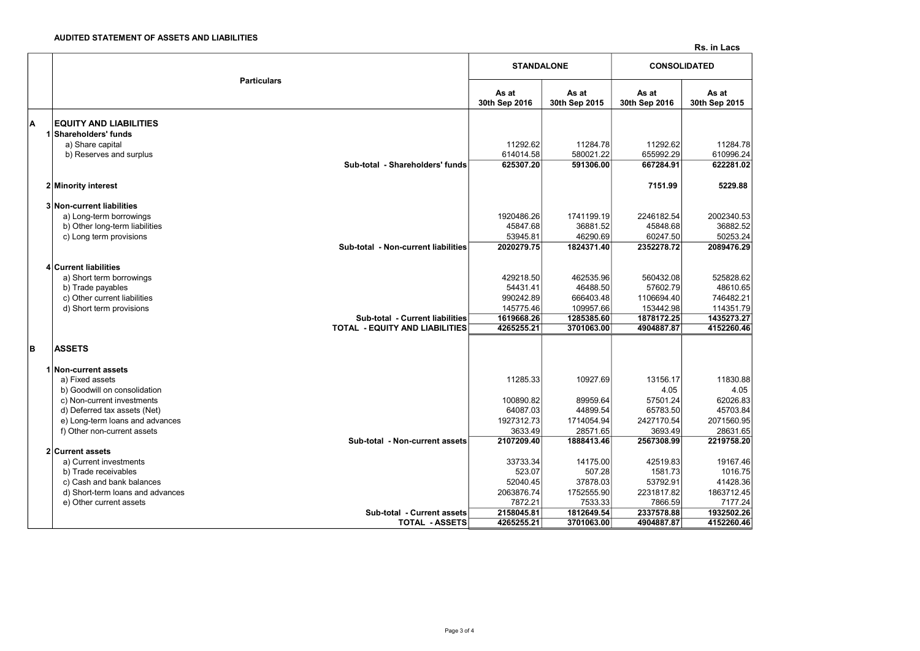Rs. in Lacs

|   | <b>Particulars</b>                                 |                        | <b>STANDALONE</b>      | <b>CONSOLIDATED</b>    |                        |  |
|---|----------------------------------------------------|------------------------|------------------------|------------------------|------------------------|--|
|   |                                                    | As at<br>30th Sep 2016 | As at<br>30th Sep 2015 | As at<br>30th Sep 2016 | As at<br>30th Sep 2015 |  |
| A | <b>EQUITY AND LIABILITIES</b>                      |                        |                        |                        |                        |  |
|   | 1 Shareholders' funds                              |                        |                        |                        |                        |  |
|   | a) Share capital                                   | 11292.62               | 11284.78               | 11292.62               | 11284.78               |  |
|   | b) Reserves and surplus                            | 614014.58              | 580021.22              | 655992.29              | 610996.24              |  |
|   | Sub-total - Shareholders' funds                    | 625307.20              | 591306.00              | 667284.91              | 622281.02              |  |
|   | 2 Minority interest                                |                        |                        | 7151.99                | 5229.88                |  |
|   | 3 Non-current liabilities                          |                        |                        |                        |                        |  |
|   | a) Long-term borrowings                            | 1920486.26             | 1741199.19             | 2246182.54             | 2002340.53             |  |
|   | b) Other long-term liabilities                     | 45847.68               | 36881.52               | 45848.68               | 36882.52               |  |
|   | c) Long term provisions                            | 53945.81               | 46290.69               | 60247.50               | 50253.24               |  |
|   | Sub-total - Non-current liabilities                | 2020279.75             | 1824371.40             | 2352278.72             | 2089476.29             |  |
|   | 4 Current liabilities                              |                        |                        |                        |                        |  |
|   | a) Short term borrowings                           | 429218.50              | 462535.96              | 560432.08              | 525828.62              |  |
|   | b) Trade payables                                  | 54431.41               | 46488.50               | 57602.79               | 48610.65               |  |
|   | c) Other current liabilities                       | 990242.89              | 666403.48              | 1106694.40             | 746482.21              |  |
|   | d) Short term provisions                           | 145775.46              | 109957.66              | 153442.98              | 114351.79              |  |
|   | Sub-total - Current liabilities                    | 1619668.26             | 1285385.60             | 1878172.25             | 1435273.27             |  |
|   | <b>TOTAL - EQUITY AND LIABILITIES</b>              | 4265255.21             | 3701063.00             | 4904887.87             | 4152260.46             |  |
| в | <b>ASSETS</b>                                      |                        |                        |                        |                        |  |
|   | 1 Non-current assets                               |                        |                        |                        |                        |  |
|   | a) Fixed assets                                    | 11285.33               | 10927.69               | 13156.17               | 11830.88               |  |
|   | b) Goodwill on consolidation                       |                        |                        | 4.05                   | 4.05                   |  |
|   | c) Non-current investments                         | 100890.82              | 89959.64               | 57501.24               | 62026.83               |  |
|   | d) Deferred tax assets (Net)                       | 64087.03               | 44899.54               | 65783.50               | 45703.84               |  |
|   | e) Long-term loans and advances                    | 1927312.73             | 1714054.94             | 2427170.54             | 2071560.95             |  |
|   | f) Other non-current assets                        | 3633.49                | 28571.65               | 3693.49                | 28631.65               |  |
|   | Sub-total - Non-current assets<br>2 Current assets | 2107209.40             | 1888413.46             | 2567308.99             | 2219758.20             |  |
|   | a) Current investments                             | 33733.34               | 14175.00               | 42519.83               | 19167.46               |  |
|   | b) Trade receivables                               | 523.07                 | 507.28                 | 1581.73                | 1016.75                |  |
|   | c) Cash and bank balances                          | 52040.45               | 37878.03               | 53792.91               | 41428.36               |  |
|   | d) Short-term loans and advances                   | 2063876.74             | 1752555.90             | 2231817.82             | 1863712.45             |  |
|   | e) Other current assets                            | 7872.21                | 7533.33                | 7866.59                | 7177.24                |  |
|   | Sub-total - Current assets                         | 2158045.81             | 1812649.54             | 2337578.88             | 1932502.26             |  |
|   | <b>TOTAL - ASSETS</b>                              | 4265255.21             | 3701063.00             | 4904887.87             | 4152260.46             |  |